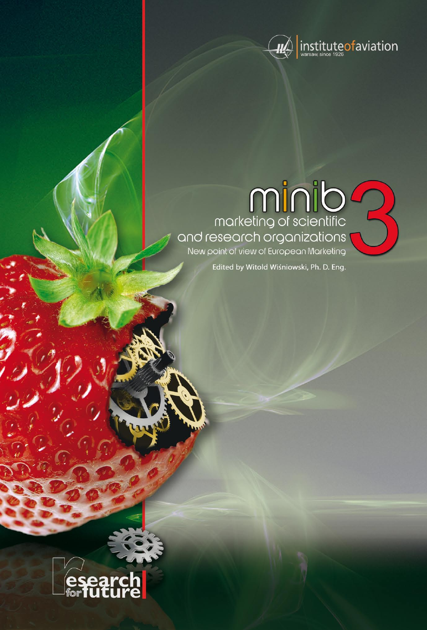

# 

Edited by Witold Wiśniowski, Ph. D. Eng.

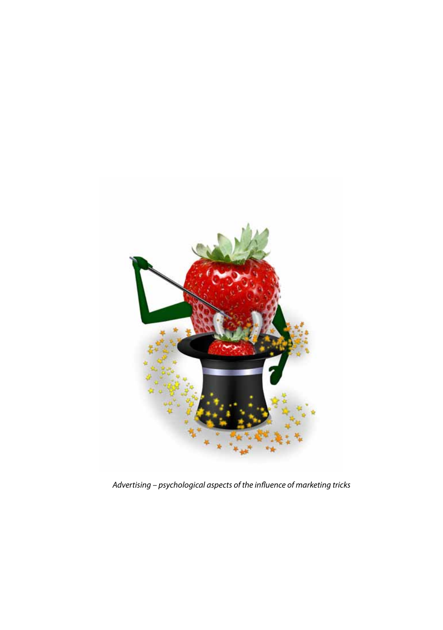

*Advertising – psychological aspects of the influence of marketing tricks*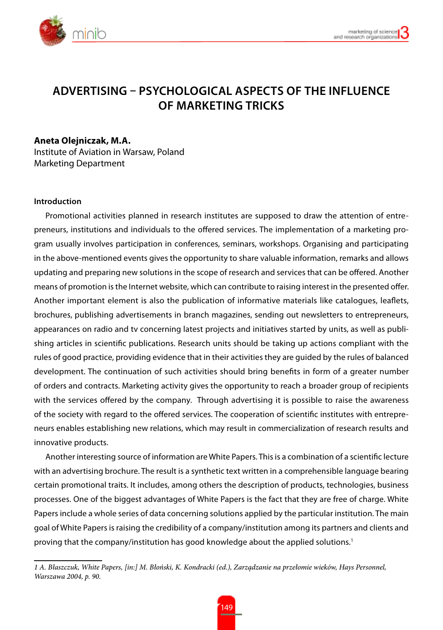

# **Advertising – psychological aspects of the influence of marketing tricks**

## **Aneta Olejniczak, M.A.**

Institute of Aviation in Warsaw, Poland Marketing Department

### **Introduction**

Promotional activities planned in research institutes are supposed to draw the attention of entrepreneurs, institutions and individuals to the offered services. The implementation of a marketing program usually involves participation in conferences, seminars, workshops. Organising and participating in the above-mentioned events gives the opportunity to share valuable information, remarks and allows updating and preparing new solutions in the scope of research and services that can be offered. Another means of promotion is the Internet website, which can contribute to raising interest in the presented offer. Another important element is also the publication of informative materials like catalogues, leaflets, brochures, publishing advertisements in branch magazines, sending out newsletters to entrepreneurs, appearances on radio and tv concerning latest projects and initiatives started by units, as well as publishing articles in scientific publications. Research units should be taking up actions compliant with the rules of good practice, providing evidence that in their activities they are guided by the rules of balanced development. The continuation of such activities should bring benefits in form of a greater number of orders and contracts. Marketing activity gives the opportunity to reach a broader group of recipients with the services offered by the company. Through advertising it is possible to raise the awareness of the society with regard to the offered services. The cooperation of scientific institutes with entrepreneurs enables establishing new relations, which may result in commercialization of research results and innovative products.

Another interesting source of information are White Papers. This is a combination of a scientific lecture with an advertising brochure. The result is a synthetic text written in a comprehensible language bearing certain promotional traits. It includes, among others the description of products, technologies, business processes. One of the biggest advantages of White Papers is the fact that they are free of charge. White Papers include a whole series of data concerning solutions applied by the particular institution. The main goal of White Papers is raising the credibility of a company/institution among its partners and clients and proving that the company/institution has good knowledge about the applied solutions.<sup>1</sup>

*<sup>1</sup> A. Błaszczuk, White Papers, [in:] M. Błoński, K. Kondracki (ed.), Zarządzanie na przełomie wieków, Hays Personnel, Warszawa 2004, p. 90.*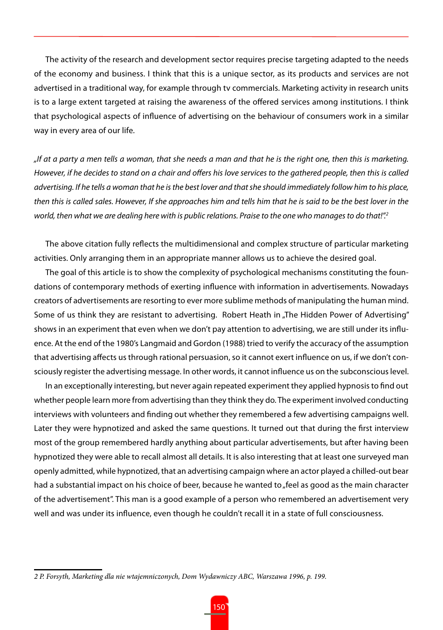The activity of the research and development sector requires precise targeting adapted to the needs of the economy and business. I think that this is a unique sector, as its products and services are not advertised in a traditional way, for example through tv commercials. Marketing activity in research units is to a large extent targeted at raising the awareness of the offered services among institutions. I think that psychological aspects of influence of advertising on the behaviour of consumers work in a similar way in every area of our life.

*"If at a party a men tells a woman, that she needs a man and that he is the right one, then this is marketing. However, if he decides to stand on a chair and offers his love services to the gathered people, then this is called advertising. If he tells a woman that he is the best lover and that she should immediately follow him to his place, then this is called sales. However, If she approaches him and tells him that he is said to be the best lover in the world, then what we are dealing here with is public relations. Praise to the one who manages to do that!".2*

The above citation fully reflects the multidimensional and complex structure of particular marketing activities. Only arranging them in an appropriate manner allows us to achieve the desired goal.

The goal of this article is to show the complexity of psychological mechanisms constituting the foundations of contemporary methods of exerting influence with information in advertisements. Nowadays creators of advertisements are resorting to ever more sublime methods of manipulating the human mind. Some of us think they are resistant to advertising. Robert Heath in "The Hidden Power of Advertising" shows in an experiment that even when we don't pay attention to advertising, we are still under its influence. At the end of the 1980's Langmaid and Gordon (1988) tried to verify the accuracy of the assumption that advertising affects us through rational persuasion, so it cannot exert influence on us, if we don't consciously register the advertising message. In other words, it cannot influence us on the subconscious level.

In an exceptionally interesting, but never again repeated experiment they applied hypnosis to find out whether people learn more from advertising than they think they do. The experiment involved conducting interviews with volunteers and finding out whether they remembered a few advertising campaigns well. Later they were hypnotized and asked the same questions. It turned out that during the first interview most of the group remembered hardly anything about particular advertisements, but after having been hypnotized they were able to recall almost all details. It is also interesting that at least one surveyed man openly admitted, while hypnotized, that an advertising campaign where an actor played a chilled-out bear had a substantial impact on his choice of beer, because he wanted to "feel as good as the main character of the advertisement". This man is a good example of a person who remembered an advertisement very well and was under its influence, even though he couldn't recall it in a state of full consciousness.

*<sup>2</sup> P. Forsyth, Marketing dla nie wtajemniczonych, Dom Wydawniczy ABC, Warszawa 1996, p. 199.*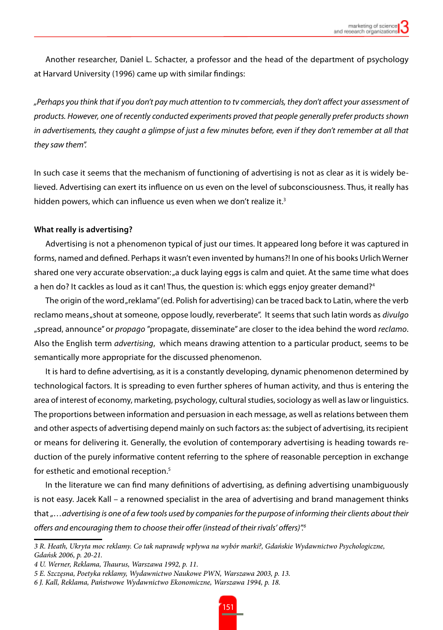Another researcher, Daniel L. Schacter, a professor and the head of the department of psychology at Harvard University (1996) came up with similar findings:

*"Perhaps you think that if you don't pay much attention to tv commercials, they don't affect your assessment of products. However, one of recently conducted experiments proved that people generally prefer products shown*  in advertisements, they caught a glimpse of just a few minutes before, even if they don't remember at all that *they saw them".* 

In such case it seems that the mechanism of functioning of advertising is not as clear as it is widely believed. Advertising can exert its influence on us even on the level of subconsciousness. Thus, it really has hidden powers, which can influence us even when we don't realize it.<sup>3</sup>

### **What really is advertising?**

Advertising is not a phenomenon typical of just our times. It appeared long before it was captured in forms, named and defined. Perhaps it wasn't even invented by humans?! In one of his books Urlich Werner shared one very accurate observation: "a duck laying eggs is calm and quiet. At the same time what does a hen do? It cackles as loud as it can! Thus, the question is: which eggs enjoy greater demand? $^4$ 

The origin of the word "reklama" (ed. Polish for advertising) can be traced back to Latin, where the verb reclamo means "shout at someone, oppose loudly, reverberate". It seems that such latin words as *divulgo* "spread, announce" or *propago* "propagate, disseminate" are closer to the idea behind the word *reclamo*. Also the English term *advertising*, which means drawing attention to a particular product, seems to be semantically more appropriate for the discussed phenomenon.

It is hard to define advertising, as it is a constantly developing, dynamic phenomenon determined by technological factors. It is spreading to even further spheres of human activity, and thus is entering the area of interest of economy, marketing, psychology, cultural studies, sociology as well as law or linguistics. The proportions between information and persuasion in each message, as well as relations between them and other aspects of advertising depend mainly on such factors as: the subject of advertising, its recipient or means for delivering it. Generally, the evolution of contemporary advertising is heading towards reduction of the purely informative content referring to the sphere of reasonable perception in exchange for esthetic and emotional reception.<sup>5</sup>

In the literature we can find many definitions of advertising, as defining advertising unambiguously is not easy. Jacek Kall – a renowned specialist in the area of advertising and brand management thinks that *"…advertising is one of a few tools used by companies for the purpose of informing their clients about their offers and encouraging them to choose their offer (instead of their rivals' offers)".6*

*<sup>3</sup> R. Heath, Ukryta moc reklamy. Co tak naprawdę wpływa na wybór marki?, Gdańskie Wydawnictwo Psychologiczne, Gdańsk 2006, p. 20-21.* 

*<sup>4</sup> U. Werner, Reklama, Thaurus, Warszawa 1992, p. 11.*

*<sup>5</sup> E. Szczęsna, Poetyka reklamy, Wydawnictwo Naukowe PWN, Warszawa 2003, p. 13.*

*<sup>6</sup> J. Kall, Reklama, Państwowe Wydawnictwo Ekonomiczne, Warszawa 1994, p. 18.*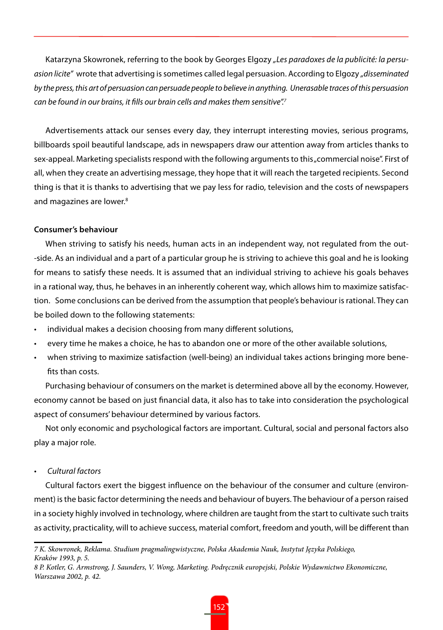Katarzyna Skowronek, referring to the book by Georges Elgozy *"Les paradoxes de la publicité: la persuasion licite"* wrote that advertising is sometimes called legal persuasion. According to Elgozy *"disseminated by the press, this art of persuasion can persuade people to believe in anything. Unerasable traces of this persuasion can be found in our brains, it fills our brain cells and makes them sensitive".7*

Advertisements attack our senses every day, they interrupt interesting movies, serious programs, billboards spoil beautiful landscape, ads in newspapers draw our attention away from articles thanks to sex-appeal. Marketing specialists respond with the following arguments to this "commercial noise". First of all, when they create an advertising message, they hope that it will reach the targeted recipients. Second thing is that it is thanks to advertising that we pay less for radio, television and the costs of newspapers and magazines are lower.<sup>8</sup>

### **Consumer's behaviour**

When striving to satisfy his needs, human acts in an independent way, not regulated from the out- -side. As an individual and a part of a particular group he is striving to achieve this goal and he is looking for means to satisfy these needs. It is assumed that an individual striving to achieve his goals behaves in a rational way, thus, he behaves in an inherently coherent way, which allows him to maximize satisfaction. Some conclusions can be derived from the assumption that people's behaviour is rational. They can be boiled down to the following statements:

- individual makes a decision choosing from many different solutions,
- every time he makes a choice, he has to abandon one or more of the other available solutions,
- • when striving to maximize satisfaction (well-being) an individual takes actions bringing more benefits than costs.

Purchasing behaviour of consumers on the market is determined above all by the economy. However, economy cannot be based on just financial data, it also has to take into consideration the psychological aspect of consumers' behaviour determined by various factors.

Not only economic and psychological factors are important. Cultural, social and personal factors also play a major role.

• *Cultural factors*

Cultural factors exert the biggest influence on the behaviour of the consumer and culture (environment) is the basic factor determining the needs and behaviour of buyers. The behaviour of a person raised in a society highly involved in technology, where children are taught from the start to cultivate such traits as activity, practicality, will to achieve success, material comfort, freedom and youth, will be different than

*<sup>7</sup> K. Skowronek, Reklama. Studium pragmalingwistyczne, Polska Akademia Nauk, Instytut Języka Polskiego, Kraków 1993, p. 5.*

*<sup>8</sup> P. Kotler, G. Armstrong, J. Saunders, V. Wong, Marketing. Podręcznik europejski, Polskie Wydawnictwo Ekonomiczne, Warszawa 2002, p. 42.*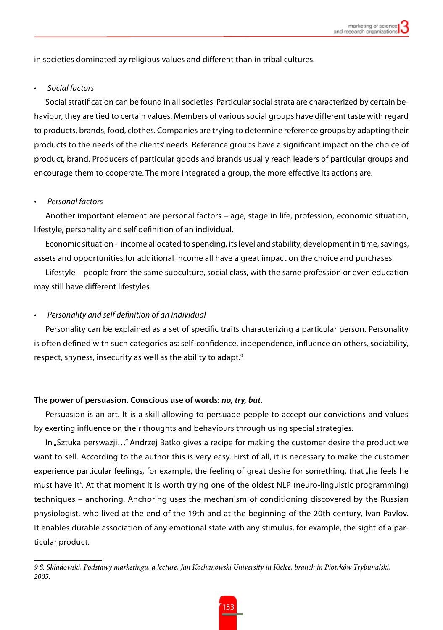in societies dominated by religious values and different than in tribal cultures.

### • *Social factors*

Social stratification can be found in all societies. Particular social strata are characterized by certain behaviour, they are tied to certain values. Members of various social groups have different taste with regard to products, brands, food, clothes. Companies are trying to determine reference groups by adapting their products to the needs of the clients' needs. Reference groups have a significant impact on the choice of product, brand. Producers of particular goods and brands usually reach leaders of particular groups and encourage them to cooperate. The more integrated a group, the more effective its actions are.

### **Personal factors**

Another important element are personal factors – age, stage in life, profession, economic situation, lifestyle, personality and self definition of an individual.

Economic situation - income allocated to spending, its level and stability, development in time, savings, assets and opportunities for additional income all have a great impact on the choice and purchases.

Lifestyle – people from the same subculture, social class, with the same profession or even education may still have different lifestyles.

### **Personality and self definition of an individual**

Personality can be explained as a set of specific traits characterizing a particular person. Personality is often defined with such categories as: self-confidence, independence, influence on others, sociability, respect, shyness, insecurity as well as the ability to adapt.<sup>9</sup>

### **The power of persuasion. Conscious use of words:** *no, try, but.*

Persuasion is an art. It is a skill allowing to persuade people to accept our convictions and values by exerting influence on their thoughts and behaviours through using special strategies.

In "Sztuka perswazji…" Andrzej Batko gives a recipe for making the customer desire the product we want to sell. According to the author this is very easy. First of all, it is necessary to make the customer experience particular feelings, for example, the feeling of great desire for something, that "he feels he must have it". At that moment it is worth trying one of the oldest NLP (neuro-linguistic programming) techniques – anchoring. Anchoring uses the mechanism of conditioning discovered by the Russian physiologist, who lived at the end of the 19th and at the beginning of the 20th century, Ivan Pavlov. It enables durable association of any emotional state with any stimulus, for example, the sight of a particular product.

*<sup>9</sup> S. Składowski, Podstawy marketingu, a lecture, Jan Kochanowski University in Kielce, branch in Piotrków Trybunalski, 2005.*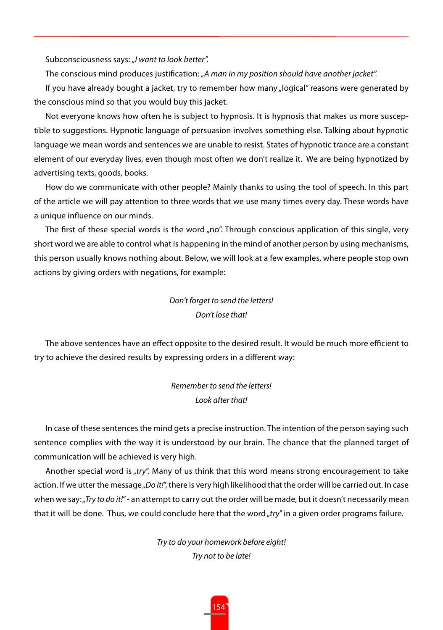Subconsciousness says: *"I want to look better".*

The conscious mind produces justification: *"A man in my position should have another jacket".*

If you have already bought a jacket, try to remember how many "logical" reasons were generated by the conscious mind so that you would buy this jacket.

Not everyone knows how often he is subject to hypnosis. It is hypnosis that makes us more susceptible to suggestions. Hypnotic language of persuasion involves something else. Talking about hypnotic language we mean words and sentences we are unable to resist. States of hypnotic trance are a constant element of our everyday lives, even though most often we don't realize it. We are being hypnotized by advertising texts, goods, books.

How do we communicate with other people? Mainly thanks to using the tool of speech. In this part of the article we will pay attention to three words that we use many times every day. These words have a unique influence on our minds.

The first of these special words is the word "no". Through conscious application of this single, very short word we are able to control what is happening in the mind of another person by using mechanisms, this person usually knows nothing about. Below, we will look at a few examples, where people stop own actions by giving orders with negations, for example:

# *Don't forget to send the letters! Don't lose that!*

The above sentences have an effect opposite to the desired result. It would be much more efficient to try to achieve the desired results by expressing orders in a different way:

> *Remember to send the letters! Look after that!*

In case of these sentences the mind gets a precise instruction. The intention of the person saying such sentence complies with the way it is understood by our brain. The chance that the planned target of communication will be achieved is very high.

Another special word is "*try*". Many of us think that this word means strong encouragement to take action. If we utter the message "Do it!", there is very high likelihood that the order will be carried out. In case when we say:<sub>"</sub>*Try to do it!"* - an attempt to carry out the order will be made, but it doesn't necessarily mean that it will be done. Thus, we could conclude here that the word "try" in a given order programs failure.

> *Try to do your homework before eight! Try not to be late!*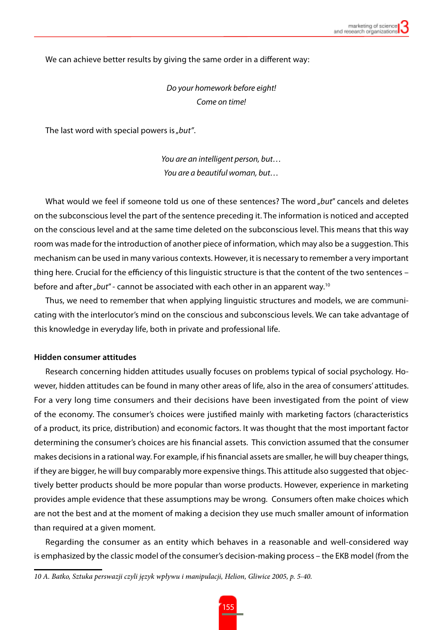We can achieve better results by giving the same order in a different way:

*Do your homework before eight! Come on time!*

The last word with special powers is "but".

*You are an intelligent person, but… You are a beautiful woman, but…*

What would we feel if someone told us one of these sentences? The word *but"* cancels and deletes on the subconscious level the part of the sentence preceding it. The information is noticed and accepted on the conscious level and at the same time deleted on the subconscious level. This means that this way room was made for the introduction of another piece of information, which may also be a suggestion. This mechanism can be used in many various contexts. However, it is necessary to remember a very important thing here. Crucial for the efficiency of this linguistic structure is that the content of the two sentences – before and after "but" - cannot be associated with each other in an apparent way.<sup>10</sup>

Thus, we need to remember that when applying linguistic structures and models, we are communicating with the interlocutor's mind on the conscious and subconscious levels. We can take advantage of this knowledge in everyday life, both in private and professional life.

### **Hidden consumer attitudes**

Research concerning hidden attitudes usually focuses on problems typical of social psychology. However, hidden attitudes can be found in many other areas of life, also in the area of consumers' attitudes. For a very long time consumers and their decisions have been investigated from the point of view of the economy. The consumer's choices were justified mainly with marketing factors (characteristics of a product, its price, distribution) and economic factors. It was thought that the most important factor determining the consumer's choices are his financial assets. This conviction assumed that the consumer makes decisions in a rational way. For example, if his financial assets are smaller, he will buy cheaper things, if they are bigger, he will buy comparably more expensive things. This attitude also suggested that objectively better products should be more popular than worse products. However, experience in marketing provides ample evidence that these assumptions may be wrong. Consumers often make choices which are not the best and at the moment of making a decision they use much smaller amount of information than required at a given moment.

Regarding the consumer as an entity which behaves in a reasonable and well-considered way is emphasized by the classic model of the consumer's decision-making process – the EKB model (from the

*<sup>10</sup> A. Batko, Sztuka perswazji czyli język wpływu i manipulacji, Helion, Gliwice 2005, p. 5-40.*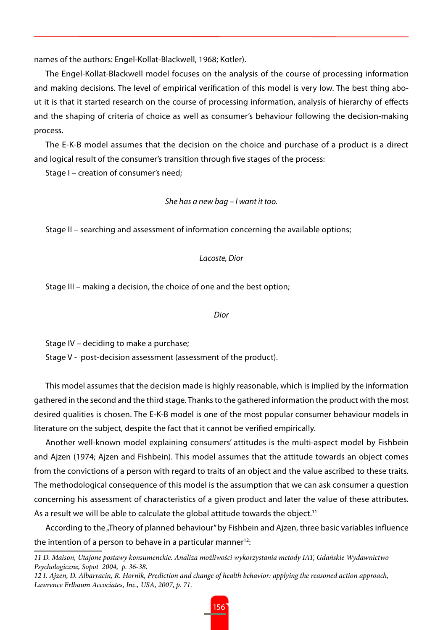names of the authors: Engel-Kollat-Blackwell, 1968; Kotler).

The Engel-Kollat-Blackwell model focuses on the analysis of the course of processing information and making decisions. The level of empirical verification of this model is very low. The best thing about it is that it started research on the course of processing information, analysis of hierarchy of effects and the shaping of criteria of choice as well as consumer's behaviour following the decision-making process.

The E-K-B model assumes that the decision on the choice and purchase of a product is a direct and logical result of the consumer's transition through five stages of the process:

Stage I – creation of consumer's need;

### *She has a new bag – I want it too.*

Stage II – searching and assessment of information concerning the available options;

### *Lacoste, Dior*

Stage III – making a decision, the choice of one and the best option;

### *Dior*

Stage IV – deciding to make a purchase;

Stage V - post-decision assessment (assessment of the product).

This model assumes that the decision made is highly reasonable, which is implied by the information gathered in the second and the third stage. Thanks to the gathered information the product with the most desired qualities is chosen. The E-K-B model is one of the most popular consumer behaviour models in literature on the subject, despite the fact that it cannot be verified empirically.

Another well-known model explaining consumers' attitudes is the multi-aspect model by Fishbein and Ajzen (1974; Ajzen and Fishbein). This model assumes that the attitude towards an object comes from the convictions of a person with regard to traits of an object and the value ascribed to these traits. The methodological consequence of this model is the assumption that we can ask consumer a question concerning his assessment of characteristics of a given product and later the value of these attributes. As a result we will be able to calculate the global attitude towards the object.<sup>11</sup>

According to the "Theory of planned behaviour" by Fishbein and Ajzen, three basic variables influence the intention of a person to behave in a particular manner $12$ :

*<sup>11</sup> D. Maison, Utajone postawy konsumenckie. Analiza możliwości wykorzystania metody IAT, Gdańskie Wydawnictwo Psychologiczne, Sopot 2004, p. 36-38.*

*<sup>12</sup> I. Ajzen, D. Albarracin, R. Hornik, Prediction and change of health behavior: applying the reasoned action approach, Lawrence Erlbaum Accociates, Inc., USA, 2007, p. 71.*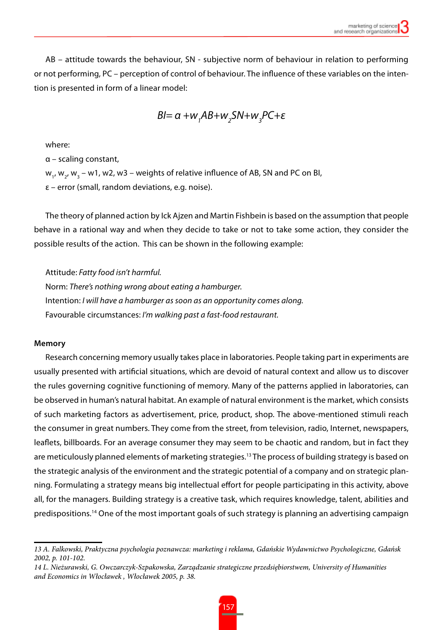AB – attitude towards the behaviour, SN - subjective norm of behaviour in relation to performing or not performing, PC – perception of control of behaviour. The influence of these variables on the intention is presented in form of a linear model:

$$
Bl = \alpha + w_{1}AB + w_{2}SM + w_{3}PC + \varepsilon
$$

where:

α – scaling constant, w<sub>1</sub>, w<sub>2</sub>, w<sub>3</sub> – w1, w2, w3 – weights of relative influence of AB, SN and PC on BI, ε – error (small, random deviations, e.g. noise).

The theory of planned action by Ick Ajzen and Martin Fishbein is based on the assumption that people behave in a rational way and when they decide to take or not to take some action, they consider the possible results of the action. This can be shown in the following example:

Attitude: *Fatty food isn't harmful.* Norm: *There's nothing wrong about eating a hamburger.* Intention: *I will have a hamburger as soon as an opportunity comes along.* Favourable circumstances: *I'm walking past a fast-food restaurant.*

### **Memory**

Research concerning memory usually takes place in laboratories. People taking part in experiments are usually presented with artificial situations, which are devoid of natural context and allow us to discover the rules governing cognitive functioning of memory. Many of the patterns applied in laboratories, can be observed in human's natural habitat. An example of natural environment is the market, which consists of such marketing factors as advertisement, price, product, shop. The above-mentioned stimuli reach the consumer in great numbers. They come from the street, from television, radio, Internet, newspapers, leaflets, billboards. For an average consumer they may seem to be chaotic and random, but in fact they are meticulously planned elements of marketing strategies.13 The process of building strategy is based on the strategic analysis of the environment and the strategic potential of a company and on strategic planning. Formulating a strategy means big intellectual effort for people participating in this activity, above all, for the managers. Building strategy is a creative task, which requires knowledge, talent, abilities and predispositions.14 One of the most important goals of such strategy is planning an advertising campaign

*<sup>13</sup> A. Falkowski, Praktyczna psychologia poznawcza: marketing i reklama, Gdańskie Wydawnictwo Psychologiczne, Gdańsk 2002, p. 101-102.*

*<sup>14</sup> L. Nieżurawski, G. Owczarczyk-Szpakowska, Zarządzanie strategiczne przedsiębiorstwem, University of Humanities and Economics in Włocławek , Włocławek 2005, p. 38.*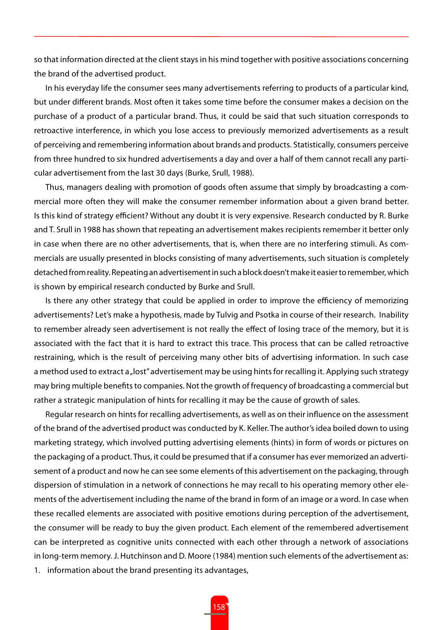so that information directed at the client stays in his mind together with positive associations concerning the brand of the advertised product.

In his everyday life the consumer sees many advertisements referring to products of a particular kind, but under different brands. Most often it takes some time before the consumer makes a decision on the purchase of a product of a particular brand. Thus, it could be said that such situation corresponds to retroactive interference, in which you lose access to previously memorized advertisements as a result of perceiving and remembering information about brands and products. Statistically, consumers perceive from three hundred to six hundred advertisements a day and over a half of them cannot recall any particular advertisement from the last 30 days (Burke, Srull, 1988).

Thus, managers dealing with promotion of goods often assume that simply by broadcasting a commercial more often they will make the consumer remember information about a given brand better. Is this kind of strategy efficient? Without any doubt it is very expensive. Research conducted by R. Burke and T. Srull in 1988 has shown that repeating an advertisement makes recipients remember it better only in case when there are no other advertisements, that is, when there are no interfering stimuli. As commercials are usually presented in blocks consisting of many advertisements, such situation is completely detached from reality. Repeating an advertisement in such a block doesn't make it easier to remember, which is shown by empirical research conducted by Burke and Srull.

Is there any other strategy that could be applied in order to improve the efficiency of memorizing advertisements? Let's make a hypothesis, made by Tulvig and Psotka in course of their research. Inability to remember already seen advertisement is not really the effect of losing trace of the memory, but it is associated with the fact that it is hard to extract this trace. This process that can be called retroactive restraining, which is the result of perceiving many other bits of advertising information. In such case a method used to extract a "lost" advertisement may be using hints for recalling it. Applying such strategy may bring multiple benefits to companies. Not the growth of frequency of broadcasting a commercial but rather a strategic manipulation of hints for recalling it may be the cause of growth of sales.

Regular research on hints for recalling advertisements, as well as on their influence on the assessment of the brand of the advertised product was conducted by K. Keller. The author's idea boiled down to using marketing strategy, which involved putting advertising elements (hints) in form of words or pictures on the packaging of a product. Thus, it could be presumed that if a consumer has ever memorized an advertisement of a product and now he can see some elements of this advertisement on the packaging, through dispersion of stimulation in a network of connections he may recall to his operating memory other elements of the advertisement including the name of the brand in form of an image or a word. In case when these recalled elements are associated with positive emotions during perception of the advertisement, the consumer will be ready to buy the given product. Each element of the remembered advertisement can be interpreted as cognitive units connected with each other through a network of associations in long-term memory. J. Hutchinson and D. Moore (1984) mention such elements of the advertisement as:

1. information about the brand presenting its advantages,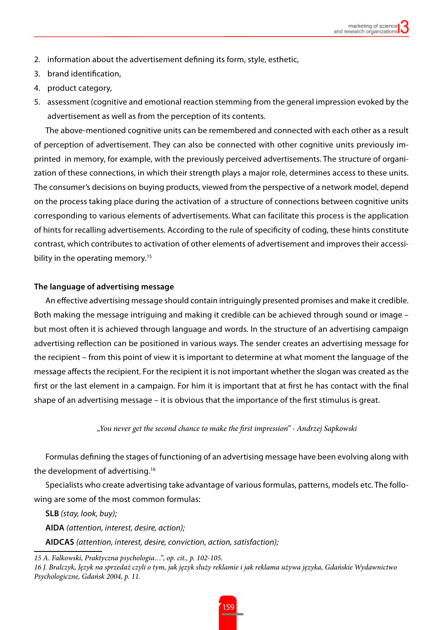- 2. information about the advertisement defining its form, style, esthetic,
- 3. brand identification,
- 4. product category,
- 5. assessment (cognitive and emotional reaction stemming from the general impression evoked by the advertisement as well as from the perception of its contents.

The above-mentioned cognitive units can be remembered and connected with each other as a result of perception of advertisement. They can also be connected with other cognitive units previously imprinted in memory, for example, with the previously perceived advertisements. The structure of organization of these connections, in which their strength plays a major role, determines access to these units. The consumer's decisions on buying products, viewed from the perspective of a network model, depend on the process taking place during the activation of a structure of connections between cognitive units corresponding to various elements of advertisements. What can facilitate this process is the application of hints for recalling advertisements. According to the rule of specificity of coding, these hints constitute contrast, which contributes to activation of other elements of advertisement and improves their accessibility in the operating memory.<sup>15</sup>

### **The language of advertising message**

An effective advertising message should contain intriguingly presented promises and make it credible. Both making the message intriguing and making it credible can be achieved through sound or image – but most often it is achieved through language and words. In the structure of an advertising campaign advertising reflection can be positioned in various ways. The sender creates an advertising message for the recipient – from this point of view it is important to determine at what moment the language of the message affects the recipient. For the recipient it is not important whether the slogan was created as the first or the last element in a campaign. For him it is important that at first he has contact with the final shape of an advertising message – it is obvious that the importance of the first stimulus is great.

*"You never get the second chance to make the first impression" - Andrzej Sapkowski*

Formulas defining the stages of functioning of an advertising message have been evolving along with the development of advertising.16

Specialists who create advertising take advantage of various formulas, patterns, models etc. The following are some of the most common formulas:

**SLB** *(stay, look, buy);* 

**AIDA** *(attention, interest, desire, action);* 

**AIDCAS** *(attention, interest, desire, conviction, action, satisfaction);*

*<sup>15</sup> A. Falkowski, Praktyczna psychologia…", op. cit., p. 102-105.*

*<sup>16</sup> J. Bralczyk, Język na sprzedaż czyli o tym, jak język służy reklamie i jak reklama używa języka, Gdańskie Wydawnictwo Psychologiczne, Gdańsk 2004, p. 11.*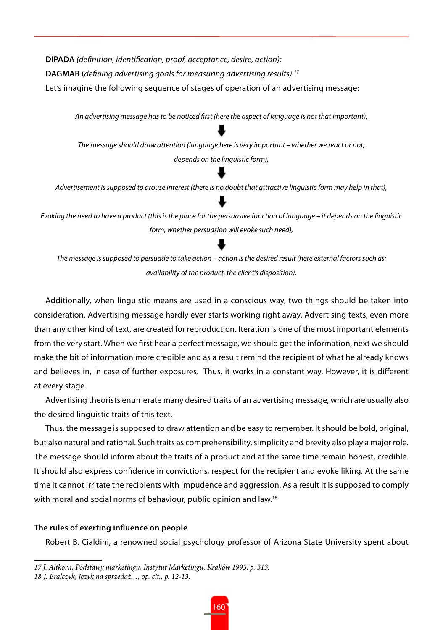**DIPADA** *(definition, identification, proof, acceptance, desire, action);* **DAGMAR** (*defining advertising goals for measuring advertising results).17* Let's imagine the following sequence of stages of operation of an advertising message:

*An advertising message has to be noticed first (here the aspect of language is not that important), The message should draw attention (language here is very important – whether we react or not, depends on the linguistic form),*

*Advertisement is supposed to arouse interest (there is no doubt that attractive linguistic form may help in that),*

*Evoking the need to have a product (this is the place for the persuasive function of language – it depends on the linguistic form, whether persuasion will evoke such need),* 

*The message is supposed to persuade to take action – action is the desired result (here external factors such as: availability of the product, the client's disposition).*

Additionally, when linguistic means are used in a conscious way, two things should be taken into consideration. Advertising message hardly ever starts working right away. Advertising texts, even more than any other kind of text, are created for reproduction. Iteration is one of the most important elements from the very start. When we first hear a perfect message, we should get the information, next we should make the bit of information more credible and as a result remind the recipient of what he already knows and believes in, in case of further exposures. Thus, it works in a constant way. However, it is different at every stage.

Advertising theorists enumerate many desired traits of an advertising message, which are usually also the desired linguistic traits of this text.

Thus, the message is supposed to draw attention and be easy to remember. It should be bold, original, but also natural and rational. Such traits as comprehensibility, simplicity and brevity also play a major role. The message should inform about the traits of a product and at the same time remain honest, credible. It should also express confidence in convictions, respect for the recipient and evoke liking. At the same time it cannot irritate the recipients with impudence and aggression. As a result it is supposed to comply with moral and social norms of behaviour, public opinion and law.<sup>18</sup>

### **The rules of exerting influence on people**

Robert B. Cialdini, a renowned social psychology professor of Arizona State University spent about

*<sup>17</sup> J. Altkorn, Podstawy marketingu, Instytut Marketingu, Kraków 1995, p. 313.*

*<sup>18</sup> J. Bralczyk, Język na sprzedaż…, op. cit., p. 12-13.*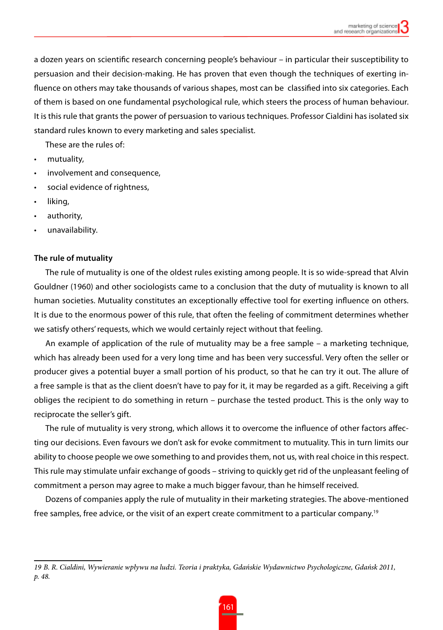a dozen years on scientific research concerning people's behaviour – in particular their susceptibility to persuasion and their decision-making. He has proven that even though the techniques of exerting influence on others may take thousands of various shapes, most can be classified into six categories. Each of them is based on one fundamental psychological rule, which steers the process of human behaviour. It is this rule that grants the power of persuasion to various techniques. Professor Cialdini has isolated six standard rules known to every marketing and sales specialist.

These are the rules of:

- mutuality.
- • involvement and consequence,
- social evidence of rightness,
- liking.
- authority,
- unavailability.

### **The rule of mutuality**

The rule of mutuality is one of the oldest rules existing among people. It is so wide-spread that Alvin Gouldner (1960) and other sociologists came to a conclusion that the duty of mutuality is known to all human societies. Mutuality constitutes an exceptionally effective tool for exerting influence on others. It is due to the enormous power of this rule, that often the feeling of commitment determines whether we satisfy others' requests, which we would certainly reject without that feeling.

An example of application of the rule of mutuality may be a free sample – a marketing technique, which has already been used for a very long time and has been very successful. Very often the seller or producer gives a potential buyer a small portion of his product, so that he can try it out. The allure of a free sample is that as the client doesn't have to pay for it, it may be regarded as a gift. Receiving a gift obliges the recipient to do something in return – purchase the tested product. This is the only way to reciprocate the seller's gift.

The rule of mutuality is very strong, which allows it to overcome the influence of other factors affecting our decisions. Even favours we don't ask for evoke commitment to mutuality. This in turn limits our ability to choose people we owe something to and provides them, not us, with real choice in this respect. This rule may stimulate unfair exchange of goods – striving to quickly get rid of the unpleasant feeling of commitment a person may agree to make a much bigger favour, than he himself received.

Dozens of companies apply the rule of mutuality in their marketing strategies. The above-mentioned free samples, free advice, or the visit of an expert create commitment to a particular company.<sup>19</sup>

*<sup>19</sup> B. R. Cialdini, Wywieranie wpływu na ludzi. Teoria i praktyka, Gdańskie Wydawnictwo Psychologiczne, Gdańsk 2011, p. 48.*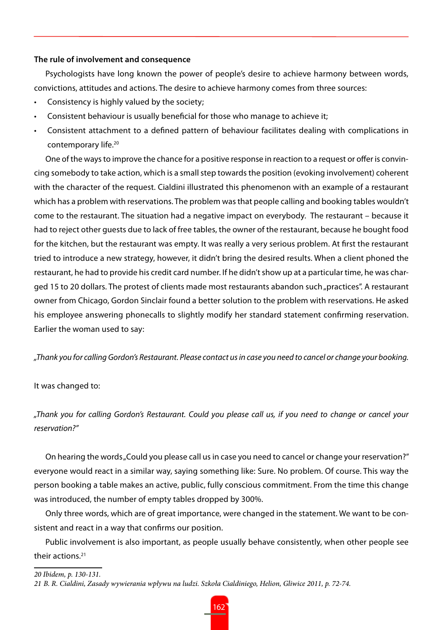### **The rule of involvement and consequence**

Psychologists have long known the power of people's desire to achieve harmony between words, convictions, attitudes and actions. The desire to achieve harmony comes from three sources:

- Consistency is highly valued by the society;
- Consistent behaviour is usually beneficial for those who manage to achieve it;
- Consistent attachment to a defined pattern of behaviour facilitates dealing with complications in contemporary life.20

One of the ways to improve the chance for a positive response in reaction to a request or offer is convincing somebody to take action, which is a small step towards the position (evoking involvement) coherent with the character of the request. Cialdini illustrated this phenomenon with an example of a restaurant which has a problem with reservations. The problem was that people calling and booking tables wouldn't come to the restaurant. The situation had a negative impact on everybody. The restaurant – because it had to reject other guests due to lack of free tables, the owner of the restaurant, because he bought food for the kitchen, but the restaurant was empty. It was really a very serious problem. At first the restaurant tried to introduce a new strategy, however, it didn't bring the desired results. When a client phoned the restaurant, he had to provide his credit card number. If he didn't show up at a particular time, he was charged 15 to 20 dollars. The protest of clients made most restaurants abandon such "practices". A restaurant owner from Chicago, Gordon Sinclair found a better solution to the problem with reservations. He asked his employee answering phonecalls to slightly modify her standard statement confirming reservation. Earlier the woman used to say:

*"Thank you for calling Gordon's Restaurant. Please contact us in case you need to cancel or change your booking.*

### It was changed to:

*"Thank you for calling Gordon's Restaurant. Could you please call us, if you need to change or cancel your reservation?"* 

On hearing the words "Could you please call us in case you need to cancel or change your reservation?" everyone would react in a similar way, saying something like: Sure. No problem. Of course. This way the person booking a table makes an active, public, fully conscious commitment. From the time this change was introduced, the number of empty tables dropped by 300%.

Only three words, which are of great importance, were changed in the statement. We want to be consistent and react in a way that confirms our position.

Public involvement is also important, as people usually behave consistently, when other people see their actions.21

*20 Ibidem, p. 130-131.*

*<sup>21</sup> B. R. Cialdini, Zasady wywierania wpływu na ludzi. Szkoła Cialdiniego, Helion, Gliwice 2011, p. 72-74.*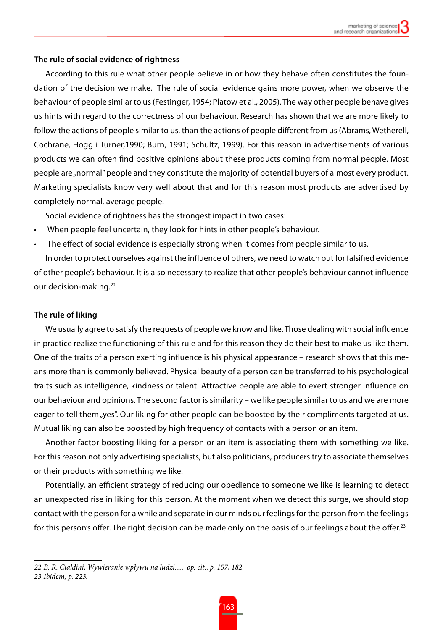### **The rule of social evidence of rightness**

According to this rule what other people believe in or how they behave often constitutes the foundation of the decision we make. The rule of social evidence gains more power, when we observe the behaviour of people similar to us (Festinger, 1954; Platow et al., 2005). The way other people behave gives us hints with regard to the correctness of our behaviour. Research has shown that we are more likely to follow the actions of people similar to us, than the actions of people different from us (Abrams, Wetherell, Cochrane, Hogg i Turner,1990; Burn, 1991; Schultz, 1999). For this reason in advertisements of various products we can often find positive opinions about these products coming from normal people. Most people are "normal" people and they constitute the majority of potential buyers of almost every product. Marketing specialists know very well about that and for this reason most products are advertised by completely normal, average people.

Social evidence of rightness has the strongest impact in two cases:

- When people feel uncertain, they look for hints in other people's behaviour.
- The effect of social evidence is especially strong when it comes from people similar to us.

In order to protect ourselves against the influence of others, we need to watch out for falsified evidence of other people's behaviour. It is also necessary to realize that other people's behaviour cannot influence our decision-making.<sup>22</sup>

### **The rule of liking**

We usually agree to satisfy the requests of people we know and like. Those dealing with social influence in practice realize the functioning of this rule and for this reason they do their best to make us like them. One of the traits of a person exerting influence is his physical appearance – research shows that this means more than is commonly believed. Physical beauty of a person can be transferred to his psychological traits such as intelligence, kindness or talent. Attractive people are able to exert stronger influence on our behaviour and opinions. The second factor is similarity – we like people similar to us and we are more eager to tell them "yes". Our liking for other people can be boosted by their compliments targeted at us. Mutual liking can also be boosted by high frequency of contacts with a person or an item.

Another factor boosting liking for a person or an item is associating them with something we like. For this reason not only advertising specialists, but also politicians, producers try to associate themselves or their products with something we like.

Potentially, an efficient strategy of reducing our obedience to someone we like is learning to detect an unexpected rise in liking for this person. At the moment when we detect this surge, we should stop contact with the person for a while and separate in our minds our feelings for the person from the feelings for this person's offer. The right decision can be made only on the basis of our feelings about the offer.<sup>23</sup>

*<sup>22</sup> B. R. Cialdini, Wywieranie wpływu na ludzi…, op. cit., p. 157, 182.*

*<sup>23</sup> Ibidem, p. 223.*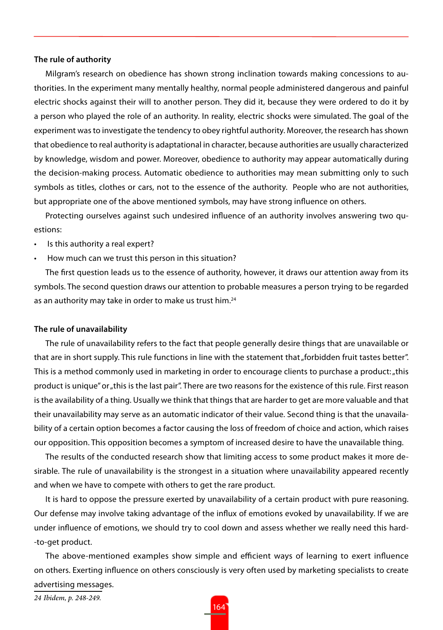### **The rule of authority**

Milgram's research on obedience has shown strong inclination towards making concessions to authorities. In the experiment many mentally healthy, normal people administered dangerous and painful electric shocks against their will to another person. They did it, because they were ordered to do it by a person who played the role of an authority. In reality, electric shocks were simulated. The goal of the experiment was to investigate the tendency to obey rightful authority. Moreover, the research has shown that obedience to real authority is adaptational in character, because authorities are usually characterized by knowledge, wisdom and power. Moreover, obedience to authority may appear automatically during the decision-making process. Automatic obedience to authorities may mean submitting only to such symbols as titles, clothes or cars, not to the essence of the authority. People who are not authorities, but appropriate one of the above mentioned symbols, may have strong influence on others.

Protecting ourselves against such undesired influence of an authority involves answering two questions:

- Is this authority a real expert?
- How much can we trust this person in this situation?

The first question leads us to the essence of authority, however, it draws our attention away from its symbols. The second question draws our attention to probable measures a person trying to be regarded as an authority may take in order to make us trust him.<sup>24</sup>

### **The rule of unavailability**

The rule of unavailability refers to the fact that people generally desire things that are unavailable or that are in short supply. This rule functions in line with the statement that "forbidden fruit tastes better". This is a method commonly used in marketing in order to encourage clients to purchase a product: "this product is unique" or "this is the last pair". There are two reasons for the existence of this rule. First reason is the availability of a thing. Usually we think that things that are harder to get are more valuable and that their unavailability may serve as an automatic indicator of their value. Second thing is that the unavailability of a certain option becomes a factor causing the loss of freedom of choice and action, which raises our opposition. This opposition becomes a symptom of increased desire to have the unavailable thing.

The results of the conducted research show that limiting access to some product makes it more desirable. The rule of unavailability is the strongest in a situation where unavailability appeared recently and when we have to compete with others to get the rare product.

It is hard to oppose the pressure exerted by unavailability of a certain product with pure reasoning. Our defense may involve taking advantage of the influx of emotions evoked by unavailability. If we are under influence of emotions, we should try to cool down and assess whether we really need this hard- -to-get product.

The above-mentioned examples show simple and efficient ways of learning to exert influence on others. Exerting influence on others consciously is very often used by marketing specialists to create advertising messages.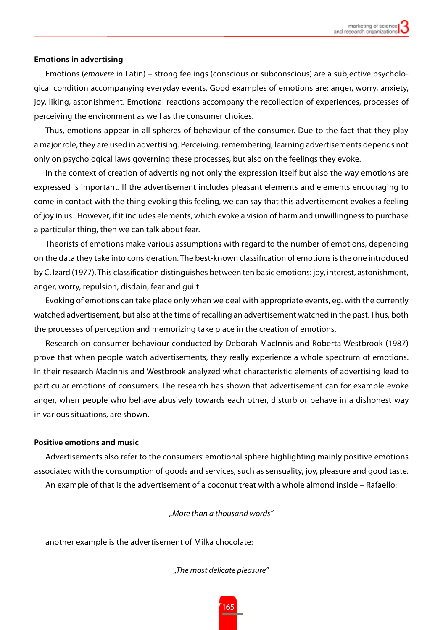### **Emotions in advertising**

Emotions (*emovere* in Latin) – strong feelings (conscious or subconscious) are a subjective psychological condition accompanying everyday events. Good examples of emotions are: anger, worry, anxiety, joy, liking, astonishment. Emotional reactions accompany the recollection of experiences, processes of perceiving the environment as well as the consumer choices.

Thus, emotions appear in all spheres of behaviour of the consumer. Due to the fact that they play a major role, they are used in advertising. Perceiving, remembering, learning advertisements depends not only on psychological laws governing these processes, but also on the feelings they evoke.

In the context of creation of advertising not only the expression itself but also the way emotions are expressed is important. If the advertisement includes pleasant elements and elements encouraging to come in contact with the thing evoking this feeling, we can say that this advertisement evokes a feeling of joy in us. However, if it includes elements, which evoke a vision of harm and unwillingness to purchase a particular thing, then we can talk about fear.

Theorists of emotions make various assumptions with regard to the number of emotions, depending on the data they take into consideration. The best-known classification of emotions is the one introduced by C. Izard (1977). This classification distinguishes between ten basic emotions: joy, interest, astonishment, anger, worry, repulsion, disdain, fear and guilt.

Evoking of emotions can take place only when we deal with appropriate events, eg. with the currently watched advertisement, but also at the time of recalling an advertisement watched in the past. Thus, both the processes of perception and memorizing take place in the creation of emotions.

Research on consumer behaviour conducted by Deborah MacInnis and Roberta Westbrook (1987) prove that when people watch advertisements, they really experience a whole spectrum of emotions. In their research MacInnis and Westbrook analyzed what characteristic elements of advertising lead to particular emotions of consumers. The research has shown that advertisement can for example evoke anger, when people who behave abusively towards each other, disturb or behave in a dishonest way in various situations, are shown.

### **Positive emotions and music**

Advertisements also refer to the consumers' emotional sphere highlighting mainly positive emotions associated with the consumption of goods and services, such as sensuality, joy, pleasure and good taste. An example of that is the advertisement of a coconut treat with a whole almond inside – Rafaello:

*"More than a thousand words"*

another example is the advertisement of Milka chocolate:

*"The most delicate pleasure"*

165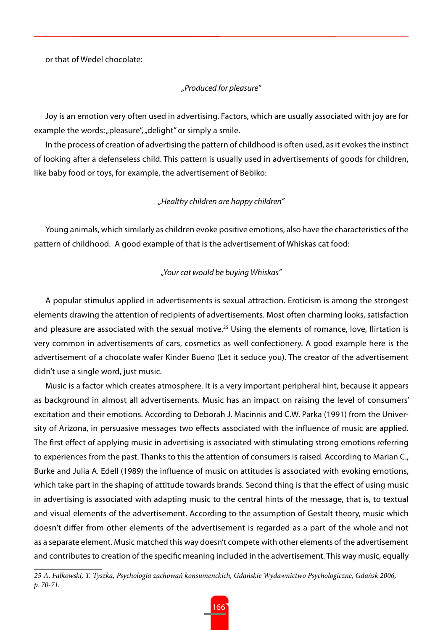or that of Wedel chocolate:

### *"Produced for pleasure"*

Joy is an emotion very often used in advertising. Factors, which are usually associated with joy are for example the words: "pleasure", "delight" or simply a smile.

In the process of creation of advertising the pattern of childhood is often used, as it evokes the instinct of looking after a defenseless child. This pattern is usually used in advertisements of goods for children, like baby food or toys, for example, the advertisement of Bebiko:

### *"Healthy children are happy children"*

Young animals, which similarly as children evoke positive emotions, also have the characteristics of the pattern of childhood. A good example of that is the advertisement of Whiskas cat food:

### *"Your cat would be buying Whiskas"*

A popular stimulus applied in advertisements is sexual attraction. Eroticism is among the strongest elements drawing the attention of recipients of advertisements. Most often charming looks, satisfaction and pleasure are associated with the sexual motive.<sup>25</sup> Using the elements of romance, love, flirtation is very common in advertisements of cars, cosmetics as well confectionery. A good example here is the advertisement of a chocolate wafer Kinder Bueno (Let it seduce you). The creator of the advertisement didn't use a single word, just music.

Music is a factor which creates atmosphere. It is a very important peripheral hint, because it appears as background in almost all advertisements. Music has an impact on raising the level of consumers' excitation and their emotions. According to Deborah J. Macinnis and C.W. Parka (1991) from the University of Arizona, in persuasive messages two effects associated with the influence of music are applied. The first effect of applying music in advertising is associated with stimulating strong emotions referring to experiences from the past. Thanks to this the attention of consumers is raised. According to Marian C., Burke and Julia A. Edell (1989) the influence of music on attitudes is associated with evoking emotions, which take part in the shaping of attitude towards brands. Second thing is that the effect of using music in advertising is associated with adapting music to the central hints of the message, that is, to textual and visual elements of the advertisement. According to the assumption of Gestalt theory, music which doesn't differ from other elements of the advertisement is regarded as a part of the whole and not as a separate element. Music matched this way doesn't compete with other elements of the advertisement and contributes to creation of the specific meaning included in the advertisement. This way music, equally

*<sup>25</sup> A. Falkowski, T. Tyszka, Psychologia zachowań konsumenckich, Gdańskie Wydawnictwo Psychologiczne, Gdańsk 2006, p. 70-71.*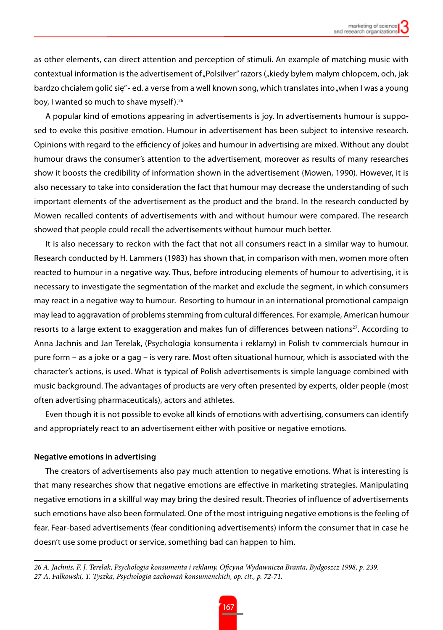as other elements, can direct attention and perception of stimuli. An example of matching music with contextual information is the advertisement of "Polsilver" razors ("kiedy byłem małym chłopcem, och, jak bardzo chciałem golić się" - ed. a verse from a well known song, which translates into "when I was a young boy, I wanted so much to shave myself).<sup>26</sup>

A popular kind of emotions appearing in advertisements is joy. In advertisements humour is supposed to evoke this positive emotion. Humour in advertisement has been subject to intensive research. Opinions with regard to the efficiency of jokes and humour in advertising are mixed. Without any doubt humour draws the consumer's attention to the advertisement, moreover as results of many researches show it boosts the credibility of information shown in the advertisement (Mowen, 1990). However, it is also necessary to take into consideration the fact that humour may decrease the understanding of such important elements of the advertisement as the product and the brand. In the research conducted by Mowen recalled contents of advertisements with and without humour were compared. The research showed that people could recall the advertisements without humour much better.

It is also necessary to reckon with the fact that not all consumers react in a similar way to humour. Research conducted by H. Lammers (1983) has shown that, in comparison with men, women more often reacted to humour in a negative way. Thus, before introducing elements of humour to advertising, it is necessary to investigate the segmentation of the market and exclude the segment, in which consumers may react in a negative way to humour. Resorting to humour in an international promotional campaign may lead to aggravation of problems stemming from cultural differences. For example, American humour resorts to a large extent to exaggeration and makes fun of differences between nations<sup>27</sup>. According to Anna Jachnis and Jan Terelak, (Psychologia konsumenta i reklamy) in Polish tv commercials humour in pure form – as a joke or a gag – is very rare. Most often situational humour, which is associated with the character's actions, is used. What is typical of Polish advertisements is simple language combined with music background. The advantages of products are very often presented by experts, older people (most often advertising pharmaceuticals), actors and athletes.

Even though it is not possible to evoke all kinds of emotions with advertising, consumers can identify and appropriately react to an advertisement either with positive or negative emotions.

### **Negative emotions in advertising**

The creators of advertisements also pay much attention to negative emotions. What is interesting is that many researches show that negative emotions are effective in marketing strategies. Manipulating negative emotions in a skillful way may bring the desired result. Theories of influence of advertisements such emotions have also been formulated. One of the most intriguing negative emotions is the feeling of fear. Fear-based advertisements (fear conditioning advertisements) inform the consumer that in case he doesn't use some product or service, something bad can happen to him.

*<sup>26</sup> A. Jachnis, F. J. Terelak, Psychologia konsumenta i reklamy, Oficyna Wydawnicza Branta, Bydgoszcz 1998, p. 239. 27 A. Falkowski, T. Tyszka, Psychologia zachowań konsumenckich, op. cit., p. 72-71.*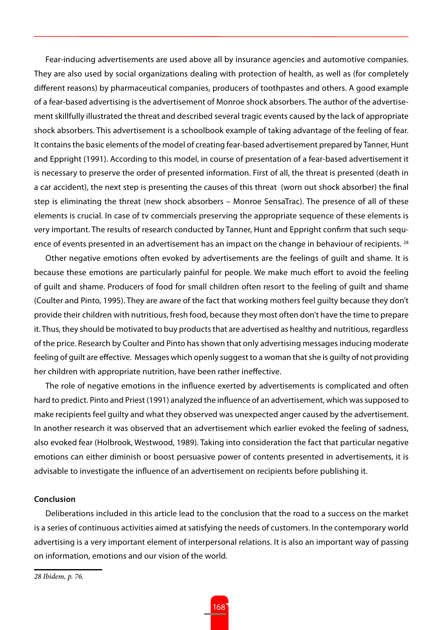Fear-inducing advertisements are used above all by insurance agencies and automotive companies. They are also used by social organizations dealing with protection of health, as well as (for completely different reasons) by pharmaceutical companies, producers of toothpastes and others. A good example of a fear-based advertising is the advertisement of Monroe shock absorbers. The author of the advertisement skillfully illustrated the threat and described several tragic events caused by the lack of appropriate shock absorbers. This advertisement is a schoolbook example of taking advantage of the feeling of fear. It contains the basic elements of the model of creating fear-based advertisement prepared by Tanner, Hunt and Eppright (1991). According to this model, in course of presentation of a fear-based advertisement it is necessary to preserve the order of presented information. First of all, the threat is presented (death in a car accident), the next step is presenting the causes of this threat (worn out shock absorber) the final step is eliminating the threat (new shock absorbers – Monroe SensaTrac). The presence of all of these elements is crucial. In case of tv commercials preserving the appropriate sequence of these elements is very important. The results of research conducted by Tanner, Hunt and Eppright confirm that such sequence of events presented in an advertisement has an impact on the change in behaviour of recipients. <sup>28</sup>

Other negative emotions often evoked by advertisements are the feelings of guilt and shame. It is because these emotions are particularly painful for people. We make much effort to avoid the feeling of guilt and shame. Producers of food for small children often resort to the feeling of guilt and shame (Coulter and Pinto, 1995). They are aware of the fact that working mothers feel guilty because they don't provide their children with nutritious, fresh food, because they most often don't have the time to prepare it. Thus, they should be motivated to buy products that are advertised as healthy and nutritious, regardless of the price. Research by Coulter and Pinto has shown that only advertising messages inducing moderate feeling of guilt are effective. Messages which openly suggest to a woman that she is guilty of not providing her children with appropriate nutrition, have been rather ineffective.

The role of negative emotions in the influence exerted by advertisements is complicated and often hard to predict. Pinto and Priest (1991) analyzed the influence of an advertisement, which was supposed to make recipients feel guilty and what they observed was unexpected anger caused by the advertisement. In another research it was observed that an advertisement which earlier evoked the feeling of sadness, also evoked fear (Holbrook, Westwood, 1989). Taking into consideration the fact that particular negative emotions can either diminish or boost persuasive power of contents presented in advertisements, it is advisable to investigate the influence of an advertisement on recipients before publishing it.

### **Conclusion**

Deliberations included in this article lead to the conclusion that the road to a success on the market is a series of continuous activities aimed at satisfying the needs of customers. In the contemporary world advertising is a very important element of interpersonal relations. It is also an important way of passing on information, emotions and our vision of the world.

*<sup>28</sup> Ibidem, p. 76.*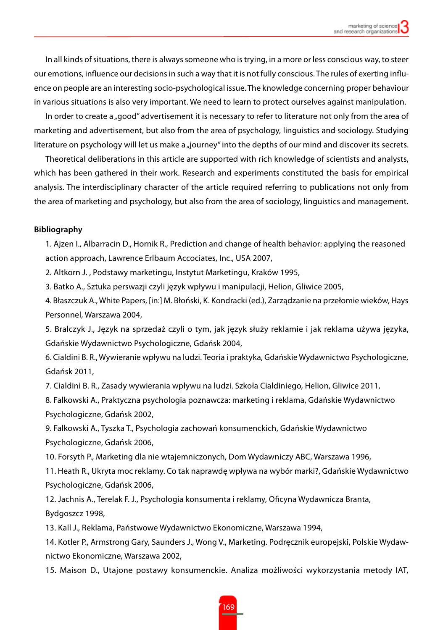In all kinds of situations, there is always someone who is trying, in a more or less conscious way, to steer our emotions, influence our decisions in such a way that it is not fully conscious. The rules of exerting influence on people are an interesting socio-psychological issue. The knowledge concerning proper behaviour in various situations is also very important. We need to learn to protect ourselves against manipulation.

In order to create a "good" advertisement it is necessary to refer to literature not only from the area of marketing and advertisement, but also from the area of psychology, linguistics and sociology. Studying literature on psychology will let us make a "journey" into the depths of our mind and discover its secrets.

Theoretical deliberations in this article are supported with rich knowledge of scientists and analysts, which has been gathered in their work. Research and experiments constituted the basis for empirical analysis. The interdisciplinary character of the article required referring to publications not only from the area of marketing and psychology, but also from the area of sociology, linguistics and management.

### **Bibliography**

1. Ajzen I., Albarracin D., Hornik R., Prediction and change of health behavior: applying the reasoned action approach, Lawrence Erlbaum Accociates, Inc., USA 2007,

2. Altkorn J. , Podstawy marketingu, Instytut Marketingu, Kraków 1995,

3. Batko A., Sztuka perswazji czyli język wpływu i manipulacji, Helion, Gliwice 2005,

4. Błaszczuk A., White Papers, [in:] M. Błoński, K. Kondracki (ed.), Zarządzanie na przełomie wieków, Hays Personnel, Warszawa 2004,

5. Bralczyk J., Język na sprzedaż czyli o tym, jak język służy reklamie i jak reklama używa języka, Gdańskie Wydawnictwo Psychologiczne, Gdańsk 2004,

6. Cialdini B. R., Wywieranie wpływu na ludzi. Teoria i praktyka, Gdańskie Wydawnictwo Psychologiczne, Gdańsk 2011,

7. Cialdini B. R., Zasady wywierania wpływu na ludzi. Szkoła Cialdiniego, Helion, Gliwice 2011,

8. Falkowski A., Praktyczna psychologia poznawcza: marketing i reklama, Gdańskie Wydawnictwo Psychologiczne, Gdańsk 2002,

9. Falkowski A., Tyszka T., Psychologia zachowań konsumenckich, Gdańskie Wydawnictwo Psychologiczne, Gdańsk 2006,

10. Forsyth P., Marketing dla nie wtajemniczonych, Dom Wydawniczy ABC, Warszawa 1996,

11. Heath R., Ukryta moc reklamy. Co tak naprawdę wpływa na wybór marki?, Gdańskie Wydawnictwo Psychologiczne, Gdańsk 2006,

12. Jachnis A., Terelak F. J., Psychologia konsumenta i reklamy, Oficyna Wydawnicza Branta, Bydgoszcz 1998,

13. Kall J., Reklama, Państwowe Wydawnictwo Ekonomiczne, Warszawa 1994,

14. Kotler P., Armstrong Gary, Saunders J., Wong V., Marketing. Podręcznik europejski, Polskie Wydawnictwo Ekonomiczne, Warszawa 2002,

15. Maison D., Utajone postawy konsumenckie. Analiza możliwości wykorzystania metody IAT,

169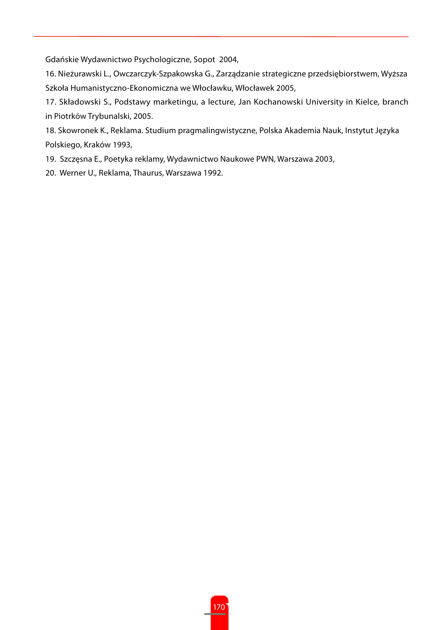Gdańskie Wydawnictwo Psychologiczne, Sopot 2004,

16. Nieżurawski L., Owczarczyk-Szpakowska G., Zarządzanie strategiczne przedsiębiorstwem, Wyższa Szkoła Humanistyczno-Ekonomiczna we Włocławku, Włocławek 2005,

17. Składowski S., Podstawy marketingu, a lecture, Jan Kochanowski University in Kielce, branch in Piotrków Trybunalski, 2005.

18. Skowronek K., Reklama. Studium pragmalingwistyczne, Polska Akademia Nauk, Instytut Języka Polskiego, Kraków 1993,

19. Szczęsna E., Poetyka reklamy, Wydawnictwo Naukowe PWN, Warszawa 2003,

20. Werner U., Reklama, Thaurus, Warszawa 1992.